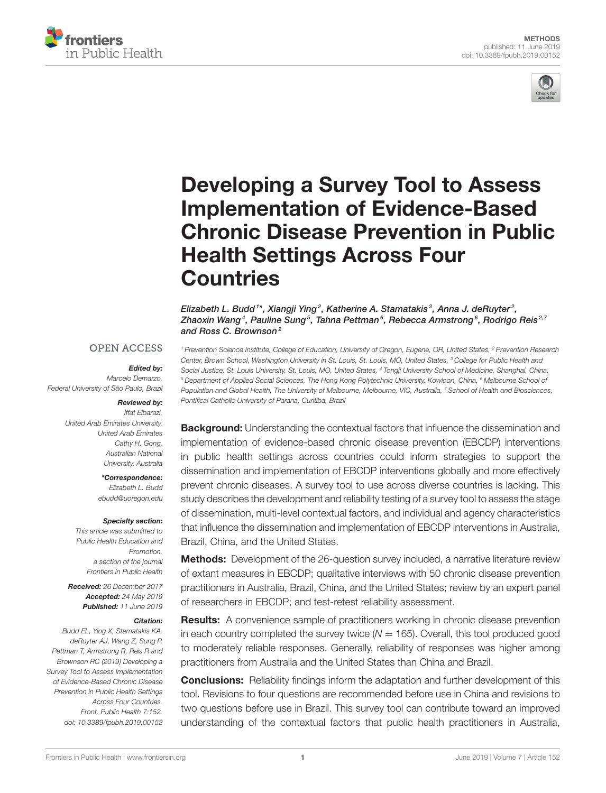



# Developing a Survey Tool to Assess Implementation of Evidence-Based [Chronic Disease Prevention in Public](https://www.frontiersin.org/articles/10.3389/fpubh.2019.00152/full) Health Settings Across Four **Countries**

[Elizabeth L. Budd](http://loop.frontiersin.org/people/416253/overview)  $^{\prime\ast}$ , Xiangji Ying $^2$ , Katherine A. Stamatakis $^3$ , Anna J. deRuyter $^2$ , Zhaoxin Wang $^4$ , Pauline Sung $^5$ , Tahna Pettman $^6$ , Rebecca Armstrong $^6$ , Rodrigo Reis $^{\text{2,7}}$ and [Ross C. Brownson](http://loop.frontiersin.org/people/451855/overview)<sup>2</sup>

### **OPEN ACCESS**

#### Edited by:

Marcelo Demarzo, Federal University of São Paulo, Brazil

#### Reviewed by:

Iffat Elbarazi, United Arab Emirates University, United Arab Emirates Cathy H. Gong, Australian National University, Australia

> \*Correspondence: Elizabeth L. Budd [ebudd@uoregon.edu](mailto:ebudd@uoregon.edu)

#### Specialty section:

This article was submitted to Public Health Education and Promotion, a section of the journal Frontiers in Public Health

Received: 26 December 2017 Accepted: 24 May 2019 Published: 11 June 2019

#### Citation:

Budd EL, Ying X, Stamatakis KA, deRuyter AJ, Wang Z, Sung P, Pettman T, Armstrong R, Reis R and Brownson RC (2019) Developing a Survey Tool to Assess Implementation of Evidence-Based Chronic Disease Prevention in Public Health Settings Across Four Countries. Front. Public Health 7:152. doi: [10.3389/fpubh.2019.00152](https://doi.org/10.3389/fpubh.2019.00152)

<sup>1</sup> Prevention Science Institute, College of Education, University of Oregon, Eugene, OR, United States, <sup>2</sup> Prevention Research Center, Brown School, Washington University in St. Louis, St. Louis, MO, United States, <sup>3</sup> College for Public Health and Social Justice, St. Louis University, St. Louis, MO, United States, <sup>4</sup> Tongji University School of Medicine, Shanghai, China, <sup>5</sup> Department of Applied Social Sciences, The Hong Kong Polytechnic University, Kowloon, China, <sup>6</sup> Melbourne School of Population and Global Health, The University of Melbourne, Melbourne, VIC, Australia, <sup>7</sup> School of Health and Biosciences, Pontifical Catholic University of Parana, Curitiba, Brazil

**Background:** Understanding the contextual factors that influence the dissemination and implementation of evidence-based chronic disease prevention (EBCDP) interventions in public health settings across countries could inform strategies to support the dissemination and implementation of EBCDP interventions globally and more effectively prevent chronic diseases. A survey tool to use across diverse countries is lacking. This study describes the development and reliability testing of a survey tool to assess the stage of dissemination, multi-level contextual factors, and individual and agency characteristics that influence the dissemination and implementation of EBCDP interventions in Australia, Brazil, China, and the United States.

**Methods:** Development of the 26-question survey included, a narrative literature review of extant measures in EBCDP; qualitative interviews with 50 chronic disease prevention practitioners in Australia, Brazil, China, and the United States; review by an expert panel of researchers in EBCDP; and test-retest reliability assessment.

**Results:** A convenience sample of practitioners working in chronic disease prevention in each country completed the survey twice ( $N = 165$ ). Overall, this tool produced good to moderately reliable responses. Generally, reliability of responses was higher among practitioners from Australia and the United States than China and Brazil.

**Conclusions:** Reliability findings inform the adaptation and further development of this tool. Revisions to four questions are recommended before use in China and revisions to two questions before use in Brazil. This survey tool can contribute toward an improved understanding of the contextual factors that public health practitioners in Australia,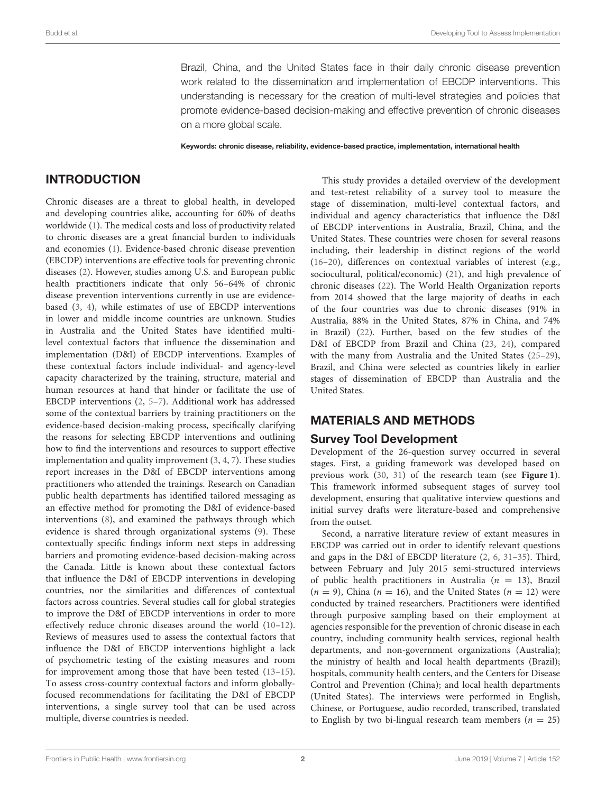Brazil, China, and the United States face in their daily chronic disease prevention work related to the dissemination and implementation of EBCDP interventions. This understanding is necessary for the creation of multi-level strategies and policies that promote evidence-based decision-making and effective prevention of chronic diseases on a more global scale.

Keywords: chronic disease, reliability, evidence-based practice, implementation, international health

### INTRODUCTION

Chronic diseases are a threat to global health, in developed and developing countries alike, accounting for 60% of deaths worldwide [\(1\)](#page-14-0). The medical costs and loss of productivity related to chronic diseases are a great financial burden to individuals and economies [\(1\)](#page-14-0). Evidence-based chronic disease prevention (EBCDP) interventions are effective tools for preventing chronic diseases [\(2\)](#page-14-1). However, studies among U.S. and European public health practitioners indicate that only 56–64% of chronic disease prevention interventions currently in use are evidencebased [\(3,](#page-14-2) [4\)](#page-14-3), while estimates of use of EBCDP interventions in lower and middle income countries are unknown. Studies in Australia and the United States have identified multilevel contextual factors that influence the dissemination and implementation (D&I) of EBCDP interventions. Examples of these contextual factors include individual- and agency-level capacity characterized by the training, structure, material and human resources at hand that hinder or facilitate the use of EBCDP interventions [\(2,](#page-14-1) [5](#page-14-4)[–7\)](#page-14-5). Additional work has addressed some of the contextual barriers by training practitioners on the evidence-based decision-making process, specifically clarifying the reasons for selecting EBCDP interventions and outlining how to find the interventions and resources to support effective implementation and quality improvement [\(3,](#page-14-2) [4,](#page-14-3) [7\)](#page-14-5). These studies report increases in the D&I of EBCDP interventions among practitioners who attended the trainings. Research on Canadian public health departments has identified tailored messaging as an effective method for promoting the D&I of evidence-based interventions [\(8\)](#page-14-6), and examined the pathways through which evidence is shared through organizational systems [\(9\)](#page-14-7). These contextually specific findings inform next steps in addressing barriers and promoting evidence-based decision-making across the Canada. Little is known about these contextual factors that influence the D&I of EBCDP interventions in developing countries, nor the similarities and differences of contextual factors across countries. Several studies call for global strategies to improve the D&I of EBCDP interventions in order to more effectively reduce chronic diseases around the world [\(10–](#page-14-8)[12\)](#page-14-9). Reviews of measures used to assess the contextual factors that influence the D&I of EBCDP interventions highlight a lack of psychometric testing of the existing measures and room for improvement among those that have been tested [\(13–](#page-14-10)[15\)](#page-14-11). To assess cross-country contextual factors and inform globallyfocused recommendations for facilitating the D&I of EBCDP interventions, a single survey tool that can be used across multiple, diverse countries is needed.

This study provides a detailed overview of the development and test-retest reliability of a survey tool to measure the stage of dissemination, multi-level contextual factors, and individual and agency characteristics that influence the D&I of EBCDP interventions in Australia, Brazil, China, and the United States. These countries were chosen for several reasons including, their leadership in distinct regions of the world [\(16](#page-14-12)[–20\)](#page-14-13), differences on contextual variables of interest (e.g., sociocultural, political/economic) [\(21\)](#page-14-14), and high prevalence of chronic diseases [\(22\)](#page-14-15). The World Health Organization reports from 2014 showed that the large majority of deaths in each of the four countries was due to chronic diseases (91% in Australia, 88% in the United States, 87% in China, and 74% in Brazil) [\(22\)](#page-14-15). Further, based on the few studies of the D&I of EBCDP from Brazil and China [\(23,](#page-14-16) [24\)](#page-14-17), compared with the many from Australia and the United States [\(25–](#page-14-18)[29\)](#page-15-0), Brazil, and China were selected as countries likely in earlier stages of dissemination of EBCDP than Australia and the United States.

### MATERIALS AND METHODS

### Survey Tool Development

Development of the 26-question survey occurred in several stages. First, a guiding framework was developed based on previous work [\(30,](#page-15-1) [31\)](#page-15-2) of the research team (see **[Figure 1](#page-2-0)**). This framework informed subsequent stages of survey tool development, ensuring that qualitative interview questions and initial survey drafts were literature-based and comprehensive from the outset.

Second, a narrative literature review of extant measures in EBCDP was carried out in order to identify relevant questions and gaps in the D&I of EBCDP literature [\(2,](#page-14-1) [6,](#page-14-19) [31–](#page-15-2)[35\)](#page-15-3). Third, between February and July 2015 semi-structured interviews of public health practitioners in Australia ( $n = 13$ ), Brazil  $(n = 9)$ , China  $(n = 16)$ , and the United States  $(n = 12)$  were conducted by trained researchers. Practitioners were identified through purposive sampling based on their employment at agencies responsible for the prevention of chronic disease in each country, including community health services, regional health departments, and non-government organizations (Australia); the ministry of health and local health departments (Brazil); hospitals, community health centers, and the Centers for Disease Control and Prevention (China); and local health departments (United States). The interviews were performed in English, Chinese, or Portuguese, audio recorded, transcribed, translated to English by two bi-lingual research team members ( $n = 25$ )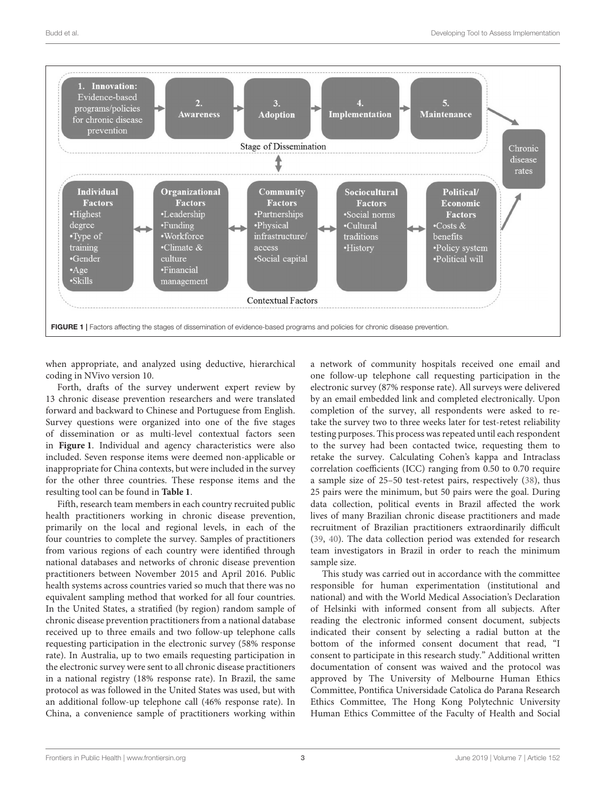

<span id="page-2-0"></span>when appropriate, and analyzed using deductive, hierarchical coding in NVivo version 10.

Forth, drafts of the survey underwent expert review by 13 chronic disease prevention researchers and were translated forward and backward to Chinese and Portuguese from English. Survey questions were organized into one of the five stages of dissemination or as multi-level contextual factors seen in **[Figure 1](#page-2-0)**. Individual and agency characteristics were also included. Seven response items were deemed non-applicable or inappropriate for China contexts, but were included in the survey for the other three countries. These response items and the resulting tool can be found in **[Table 1](#page-3-0)**.

Fifth, research team members in each country recruited public health practitioners working in chronic disease prevention, primarily on the local and regional levels, in each of the four countries to complete the survey. Samples of practitioners from various regions of each country were identified through national databases and networks of chronic disease prevention practitioners between November 2015 and April 2016. Public health systems across countries varied so much that there was no equivalent sampling method that worked for all four countries. In the United States, a stratified (by region) random sample of chronic disease prevention practitioners from a national database received up to three emails and two follow-up telephone calls requesting participation in the electronic survey (58% response rate). In Australia, up to two emails requesting participation in the electronic survey were sent to all chronic disease practitioners in a national registry (18% response rate). In Brazil, the same protocol as was followed in the United States was used, but with an additional follow-up telephone call (46% response rate). In China, a convenience sample of practitioners working within a network of community hospitals received one email and one follow-up telephone call requesting participation in the electronic survey (87% response rate). All surveys were delivered by an email embedded link and completed electronically. Upon completion of the survey, all respondents were asked to retake the survey two to three weeks later for test-retest reliability testing purposes. This process was repeated until each respondent to the survey had been contacted twice, requesting them to retake the survey. Calculating Cohen's kappa and Intraclass correlation coefficients (ICC) ranging from 0.50 to 0.70 require a sample size of 25–50 test-retest pairs, respectively [\(38\)](#page-15-4), thus 25 pairs were the minimum, but 50 pairs were the goal. During data collection, political events in Brazil affected the work lives of many Brazilian chronic disease practitioners and made recruitment of Brazilian practitioners extraordinarily difficult [\(39,](#page-15-5) [40\)](#page-15-6). The data collection period was extended for research team investigators in Brazil in order to reach the minimum sample size.

This study was carried out in accordance with the committee responsible for human experimentation (institutional and national) and with the World Medical Association's Declaration of Helsinki with informed consent from all subjects. After reading the electronic informed consent document, subjects indicated their consent by selecting a radial button at the bottom of the informed consent document that read, "I consent to participate in this research study." Additional written documentation of consent was waived and the protocol was approved by The University of Melbourne Human Ethics Committee, Pontifica Universidade Catolica do Parana Research Ethics Committee, The Hong Kong Polytechnic University Human Ethics Committee of the Faculty of Health and Social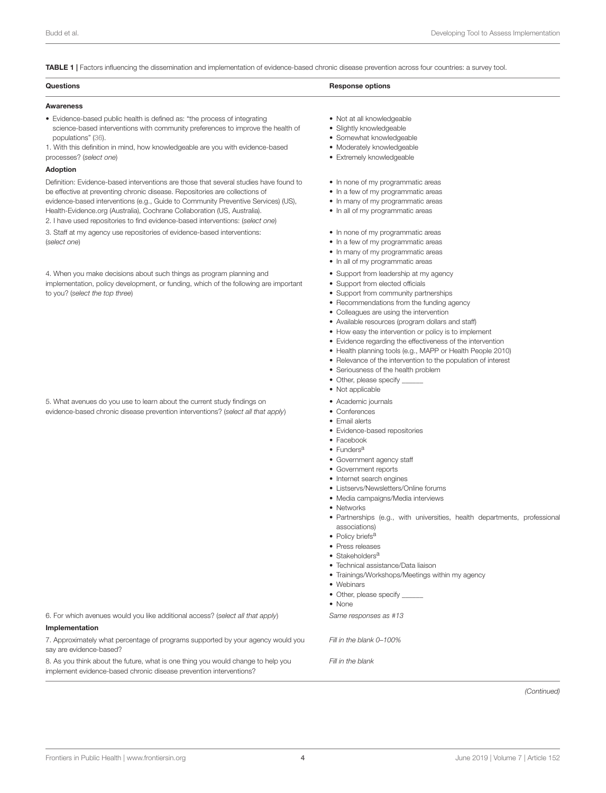<span id="page-3-0"></span>TABLE 1 | Factors influencing the dissemination and implementation of evidence-based chronic disease prevention across four countries: a survey tool.

| Questions | <b>Response options</b> |
|-----------|-------------------------|
|           |                         |

#### Awareness

- Evidence-based public health is defined as: "the process of integrating science-based interventions with community preferences to improve the health of populations" [\(36\)](#page-15-7).
- 1. With this definition in mind, how knowledgeable are you with evidence-based processes? (select one)

#### Adoption

Definition: Evidence-based interventions are those that several studies have found to be effective at preventing chronic disease. Repositories are collections of evidence-based interventions (e.g., Guide to Community Preventive Services) (US), Health-Evidence.org (Australia), Cochrane Collaboration (US, Australia).

2. I have used repositories to find evidence-based interventions: (select one)

3. Staff at my agency use repositories of evidence-based interventions: (select one)

4. When you make decisions about such things as program planning and implementation, policy development, or funding, which of the following are important to you? (select the top three)

5. What avenues do you use to learn about the current study findings on evidence-based chronic disease prevention interventions? (select all that apply)

7. Approximately what percentage of programs supported by your agency would you

8. As you think about the future, what is one thing you would change to help you implement evidence-based chronic disease prevention interventions?

- Not at all knowledgeable
- Slightly knowledgeable
- Somewhat knowledgeable
- Moderately knowledgeable
- Extremely knowledgeable
- In none of my programmatic areas
- In a few of my programmatic areas
- In many of my programmatic areas
- In all of my programmatic areas
- In none of my programmatic areas
- In a few of my programmatic areas
- In many of my programmatic areas
- In all of my programmatic areas
- Support from leadership at my agency
- Support from elected officials
- Support from community partnerships
- Recommendations from the funding agency
- Colleagues are using the intervention
- Available resources (program dollars and staff)
- How easy the intervention or policy is to implement
- Evidence regarding the effectiveness of the intervention
- Health planning tools (e.g., MAPP or Health People 2010)
- Relevance of the intervention to the population of interest
- Seriousness of the health problem
- Other, please specify
- Not applicable
- Academic journals
- Conferences
- Email alerts
- Evidence-based repositories
- Facebook
- $\bullet$  Funders<sup>a</sup>
- Government agency staff
- Government reports
- Internet search engines
- Listservs/Newsletters/Online forums
- Media campaigns/Media interviews
- Networks
- Partnerships (e.g., with universities, health departments, professional associations)
- Policy briefs<sup>a</sup>
- Press releases
- $\bullet$  Stakeholders<sup>a</sup>
- Technical assistance/Data liaison
- Trainings/Workshops/Meetings within my agency
- Webinars
- Other, please specify \_
- None

6. For which avenues would you like additional access? (select all that apply) Same responses as #13

Fill in the blank 0–100%

Fill in the blank

(Continued)

Implementation

say are evidence-based?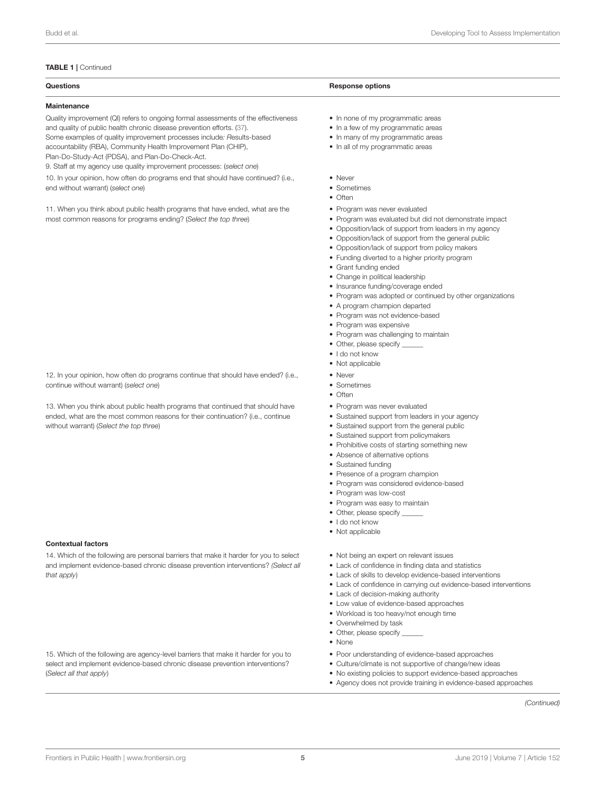#### TABLE 1 | Continued

### Questions **Contract Contract Contract Contract Contract Contract Contract Contract Contract Contract Contract Contract Contract Contract Contract Contract Contract Contract Contract Contract Contract Contract Contract Cont**

#### **Maintenance**

Quality improvement (QI) refers to ongoing formal assessments of the effectiveness and quality of public health chronic disease prevention efforts. [\(37\)](#page-15-8). Some examples of quality improvement processes include: Results-based

accountability (RBA), Community Health Improvement Plan (CHIP), Plan-Do-Study-Act (PDSA), and Plan-Do-Check-Act.

9. Staff at my agency use quality improvement processes: (select one)

10. In your opinion, how often do programs end that should have continued? (i.e., end without warrant) (select one)

11. When you think about public health programs that have ended, what are the most common reasons for programs ending? (Select the top three)

12. In your opinion, how often do programs continue that should have ended? (i.e., continue without warrant) (select one)

13. When you think about public health programs that continued that should have ended, what are the most common reasons for their continuation? (i.e., continue without warrant) (Select the top three)

#### Contextual factors

14. Which of the following are personal barriers that make it harder for you to select and implement evidence-based chronic disease prevention interventions? (Select all that apply)

15. Which of the following are agency-level barriers that make it harder for you to select and implement evidence-based chronic disease prevention interventions? (Select all that apply)

- 
- In none of my programmatic areas
- In a few of my programmatic areas
- In many of my programmatic areas
- In all of my programmatic areas
- Never
- Sometimes
- $\bullet$  Often
- Program was never evaluated
- Program was evaluated but did not demonstrate impact
- Opposition/lack of support from leaders in my agency
- Opposition/lack of support from the general public
- Opposition/lack of support from policy makers
- Funding diverted to a higher priority program
- Grant funding ended
- Change in political leadership
- Insurance funding/coverage ended
- Program was adopted or continued by other organizations
- A program champion departed
- Program was not evidence-based
- Program was expensive
- Program was challenging to maintain
- Other, please specify
- I do not know
- Not applicable
- Never
- Sometimes
- Often
- Program was never evaluated
- Sustained support from leaders in your agency
- Sustained support from the general public
- Sustained support from policymakers
- Prohibitive costs of starting something new
- Absence of alternative options
- Sustained funding
- Presence of a program champion
- Program was considered evidence-based
- Program was low-cost
- Program was easy to maintain
- Other, please specify \_
- I do not know
- Not applicable
- Not being an expert on relevant issues
- Lack of confidence in finding data and statistics
- Lack of skills to develop evidence-based interventions
- Lack of confidence in carrying out evidence-based interventions
- Lack of decision-making authority
- Low value of evidence-based approaches
- Workload is too heavy/not enough time
- Overwhelmed by task
- Other, please specify \_
- None
- Poor understanding of evidence-based approaches
- Culture/climate is not supportive of change/new ideas
- No existing policies to support evidence-based approaches
- Agency does not provide training in evidence-based approaches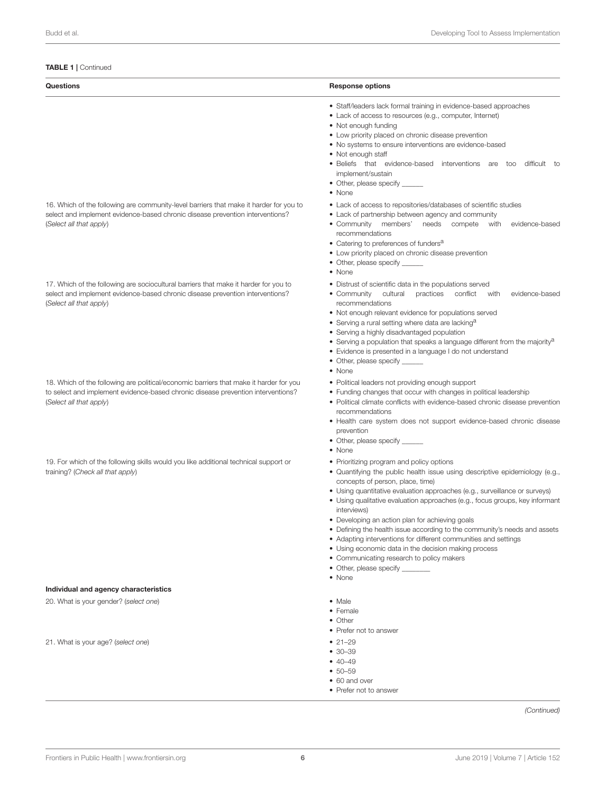#### TABLE 1 | Continued

| Questions                                                                                                                                                                                             | <b>Response options</b>                                                                                                                                                                                                                                                                                                                                                                                                                                                                                                                                                                                                                                                                        |
|-------------------------------------------------------------------------------------------------------------------------------------------------------------------------------------------------------|------------------------------------------------------------------------------------------------------------------------------------------------------------------------------------------------------------------------------------------------------------------------------------------------------------------------------------------------------------------------------------------------------------------------------------------------------------------------------------------------------------------------------------------------------------------------------------------------------------------------------------------------------------------------------------------------|
|                                                                                                                                                                                                       | • Staff/leaders lack formal training in evidence-based approaches<br>• Lack of access to resources (e.g., computer, Internet)<br>• Not enough funding<br>• Low priority placed on chronic disease prevention<br>• No systems to ensure interventions are evidence-based<br>• Not enough staff<br>• Beliefs that evidence-based interventions are too difficult to<br>implement/sustain<br>• Other, please specify _____<br>• None                                                                                                                                                                                                                                                              |
| 16. Which of the following are community-level barriers that make it harder for you to<br>select and implement evidence-based chronic disease prevention interventions?<br>(Select all that apply)    | • Lack of access to repositories/databases of scientific studies<br>• Lack of partnership between agency and community<br>• Community members' needs compete with<br>evidence-based<br>recommendations<br>• Catering to preferences of funders <sup>a</sup><br>• Low priority placed on chronic disease prevention<br>• Other, please specify _____<br>• None                                                                                                                                                                                                                                                                                                                                  |
| 17. Which of the following are sociocultural barriers that make it harder for you to<br>select and implement evidence-based chronic disease prevention interventions?<br>(Select all that apply)      | • Distrust of scientific data in the populations served<br>conflict<br>• Community cultural<br>practices<br>with<br>evidence-based<br>recommendations<br>• Not enough relevant evidence for populations served<br>• Serving a rural setting where data are lacking <sup>a</sup><br>• Serving a highly disadvantaged population<br>• Serving a population that speaks a language different from the majority <sup>a</sup><br>• Evidence is presented in a language I do not understand<br>• Other, please specify ______<br>• None                                                                                                                                                              |
| 18. Which of the following are political/economic barriers that make it harder for you<br>to select and implement evidence-based chronic disease prevention interventions?<br>(Select all that apply) | • Political leaders not providing enough support<br>• Funding changes that occur with changes in political leadership<br>• Political climate conflicts with evidence-based chronic disease prevention<br>recommendations<br>• Health care system does not support evidence-based chronic disease<br>prevention<br>• Other, please specify ______<br>• None                                                                                                                                                                                                                                                                                                                                     |
| 19. For which of the following skills would you like additional technical support or<br>training? (Check all that apply)                                                                              | • Prioritizing program and policy options<br>• Quantifying the public health issue using descriptive epidemiology (e.g.,<br>concepts of person, place, time)<br>• Using quantitative evaluation approaches (e.g., surveillance or surveys)<br>• Using qualitative evaluation approaches (e.g., focus groups, key informant<br>interviews)<br>• Developing an action plan for achieving goals<br>• Defining the health issue according to the community's needs and assets<br>• Adapting interventions for different communities and settings<br>• Using economic data in the decision making process<br>• Communicating research to policy makers<br>• Other, please specify _______<br>• None |
| Individual and agency characteristics                                                                                                                                                                 |                                                                                                                                                                                                                                                                                                                                                                                                                                                                                                                                                                                                                                                                                                |
| 20. What is your gender? (select one)                                                                                                                                                                 | • Male                                                                                                                                                                                                                                                                                                                                                                                                                                                                                                                                                                                                                                                                                         |
|                                                                                                                                                                                                       | • Female<br>• Other<br>• Prefer not to answer                                                                                                                                                                                                                                                                                                                                                                                                                                                                                                                                                                                                                                                  |
| 21. What is your age? (select one)                                                                                                                                                                    | $• 21 - 29$<br>$• 30 - 39$<br>$-40-49$<br>$• 50 - 59$<br>• 60 and over<br>• Prefer not to answer                                                                                                                                                                                                                                                                                                                                                                                                                                                                                                                                                                                               |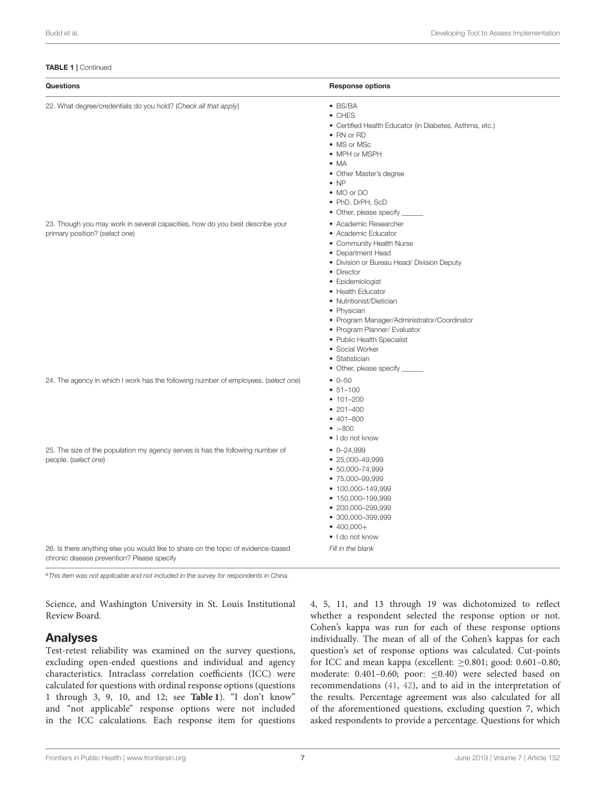#### TABLE 1 | Continued

| Questions                                                                                                                       | <b>Response options</b>                                                                                                                                                                                                                                                                                                                                                                                                      |
|---------------------------------------------------------------------------------------------------------------------------------|------------------------------------------------------------------------------------------------------------------------------------------------------------------------------------------------------------------------------------------------------------------------------------------------------------------------------------------------------------------------------------------------------------------------------|
| 22. What degree/credentials do you hold? (Check all that apply)                                                                 | $\bullet$ BS/BA<br>$\bullet$ CHES<br>• Certified Health Educator (in Diabetes, Asthma, etc.)<br>• RN or RD<br>• MS or MSc<br>• MPH or MSPH<br>$\bullet$ MA<br>• Other Master's degree<br>$\bullet$ NP<br>• MO or DO<br>• PhD, DrPH, ScD<br>• Other, please specify ______                                                                                                                                                    |
| 23. Though you may work in several capacities, how do you best describe your<br>primary position? (select one)                  | • Academic Researcher<br>• Academic Educator<br>• Community Health Nurse<br>• Department Head<br>· Division or Bureau Head/ Division Deputy<br>• Director<br>• Epidemiologist<br>• Health Educator<br>• Nutritionist/Dietician<br>• Physician<br>• Program Manager/Administrator/Coordinator<br>• Program Planner/ Evaluator<br>• Public Health Specialist<br>• Social Worker<br>• Statistician<br>• Other, please specify _ |
| 24. The agency in which I work has the following number of employees. (select one)                                              | $-6 - 50$<br>$• 51 - 100$<br>$• 101 - 200$<br>$• 201 - 400$<br>$-401 - 800$<br>$\bullet > 800$<br>• I do not know                                                                                                                                                                                                                                                                                                            |
| 25. The size of the population my agency serves is has the following number of<br>people. (select one)                          | $-0-24,999$<br>$• 25,000-49,999$<br>$• 50,000 - 74,999$<br>• 75,000-99,999<br>• 100,000-149,999<br>• 150,000-199,999<br>• 200,000-299,999<br>• 300,000-399,999<br>$• 400,000+$<br>· I do not know                                                                                                                                                                                                                            |
| 26. Is there anything else you would like to share on the topic of evidence-based<br>chronic disease prevention? Please specify | Fill in the blank                                                                                                                                                                                                                                                                                                                                                                                                            |

a This item was not applicable and not included in the survey for respondents in China.

Science, and Washington University in St. Louis Institutional Review Board.

### Analyses

Test-retest reliability was examined on the survey questions, excluding open-ended questions and individual and agency characteristics. Intraclass correlation coefficients (ICC) were calculated for questions with ordinal response options (questions 1 through 3, 9, 10, and 12; see **[Table 1](#page-3-0)**). "I don't know" and "not applicable" response options were not included in the ICC calculations. Each response item for questions 4, 5, 11, and 13 through 19 was dichotomized to reflect whether a respondent selected the response option or not. Cohen's kappa was run for each of these response options individually. The mean of all of the Cohen's kappas for each question's set of response options was calculated. Cut-points for ICC and mean kappa (excellent: ≥0.801; good: 0.601–0.80; moderate: 0.401–0.60; poor: ≤0.40) were selected based on recommendations [\(41,](#page-15-9) [42\)](#page-15-10), and to aid in the interpretation of the results. Percentage agreement was also calculated for all of the aforementioned questions, excluding question 7, which asked respondents to provide a percentage. Questions for which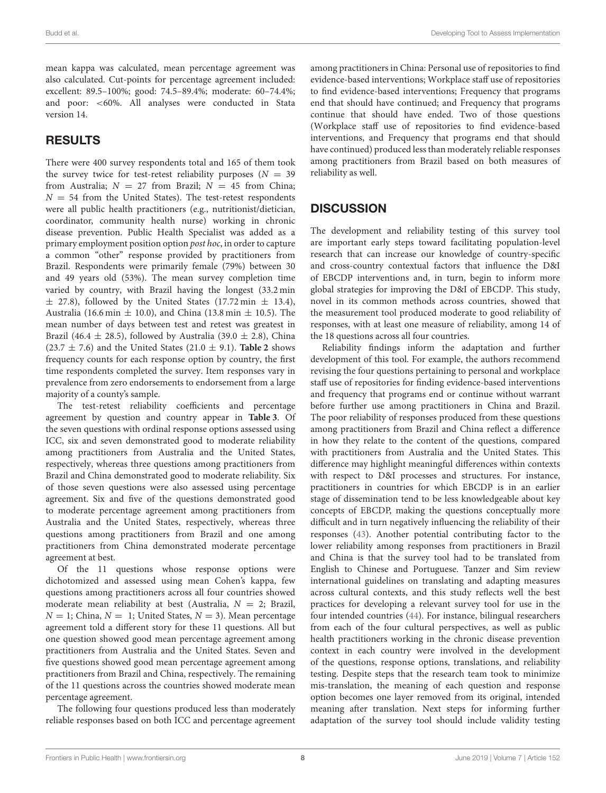mean kappa was calculated, mean percentage agreement was also calculated. Cut-points for percentage agreement included: excellent: 89.5–100%; good: 74.5–89.4%; moderate: 60–74.4%; and poor: <60%. All analyses were conducted in Stata version 14.

# RESULTS

There were 400 survey respondents total and 165 of them took the survey twice for test-retest reliability purposes  $(N = 39)$ from Australia;  $N = 27$  from Brazil;  $N = 45$  from China;  $N = 54$  from the United States). The test-retest respondents were all public health practitioners (e.g., nutritionist/dietician, coordinator, community health nurse) working in chronic disease prevention. Public Health Specialist was added as a primary employment position option post hoc, in order to capture a common "other" response provided by practitioners from Brazil. Respondents were primarily female (79%) between 30 and 49 years old (53%). The mean survey completion time varied by country, with Brazil having the longest (33.2 min  $\pm$  27.8), followed by the United States (17.72 min  $\pm$  13.4), Australia (16.6 min  $\pm$  10.0), and China (13.8 min  $\pm$  10.5). The mean number of days between test and retest was greatest in Brazil (46.4  $\pm$  28.5), followed by Australia (39.0  $\pm$  2.8), China  $(23.7 \pm 7.6)$  and the United States  $(21.0 \pm 9.1)$ . **[Table 2](#page-8-0)** shows frequency counts for each response option by country, the first time respondents completed the survey. Item responses vary in prevalence from zero endorsements to endorsement from a large majority of a county's sample.

The test-retest reliability coefficients and percentage agreement by question and country appear in **[Table 3](#page-13-0)**. Of the seven questions with ordinal response options assessed using ICC, six and seven demonstrated good to moderate reliability among practitioners from Australia and the United States, respectively, whereas three questions among practitioners from Brazil and China demonstrated good to moderate reliability. Six of those seven questions were also assessed using percentage agreement. Six and five of the questions demonstrated good to moderate percentage agreement among practitioners from Australia and the United States, respectively, whereas three questions among practitioners from Brazil and one among practitioners from China demonstrated moderate percentage agreement at best.

Of the 11 questions whose response options were dichotomized and assessed using mean Cohen's kappa, few questions among practitioners across all four countries showed moderate mean reliability at best (Australia,  $N = 2$ ; Brazil,  $N = 1$ ; China,  $N = 1$ ; United States,  $N = 3$ ). Mean percentage agreement told a different story for these 11 questions. All but one question showed good mean percentage agreement among practitioners from Australia and the United States. Seven and five questions showed good mean percentage agreement among practitioners from Brazil and China, respectively. The remaining of the 11 questions across the countries showed moderate mean percentage agreement.

The following four questions produced less than moderately reliable responses based on both ICC and percentage agreement among practitioners in China: Personal use of repositories to find evidence-based interventions; Workplace staff use of repositories to find evidence-based interventions; Frequency that programs end that should have continued; and Frequency that programs continue that should have ended. Two of those questions (Workplace staff use of repositories to find evidence-based interventions, and Frequency that programs end that should have continued) produced less than moderately reliable responses among practitioners from Brazil based on both measures of reliability as well.

# **DISCUSSION**

The development and reliability testing of this survey tool are important early steps toward facilitating population-level research that can increase our knowledge of country-specific and cross-country contextual factors that influence the D&I of EBCDP interventions and, in turn, begin to inform more global strategies for improving the D&I of EBCDP. This study, novel in its common methods across countries, showed that the measurement tool produced moderate to good reliability of responses, with at least one measure of reliability, among 14 of the 18 questions across all four countries.

Reliability findings inform the adaptation and further development of this tool. For example, the authors recommend revising the four questions pertaining to personal and workplace staff use of repositories for finding evidence-based interventions and frequency that programs end or continue without warrant before further use among practitioners in China and Brazil. The poor reliability of responses produced from these questions among practitioners from Brazil and China reflect a difference in how they relate to the content of the questions, compared with practitioners from Australia and the United States. This difference may highlight meaningful differences within contexts with respect to D&I processes and structures. For instance, practitioners in countries for which EBCDP is in an earlier stage of dissemination tend to be less knowledgeable about key concepts of EBCDP, making the questions conceptually more difficult and in turn negatively influencing the reliability of their responses [\(43\)](#page-15-11). Another potential contributing factor to the lower reliability among responses from practitioners in Brazil and China is that the survey tool had to be translated from English to Chinese and Portuguese. Tanzer and Sim review international guidelines on translating and adapting measures across cultural contexts, and this study reflects well the best practices for developing a relevant survey tool for use in the four intended countries [\(44\)](#page-15-12). For instance, bilingual researchers from each of the four cultural perspectives, as well as public health practitioners working in the chronic disease prevention context in each country were involved in the development of the questions, response options, translations, and reliability testing. Despite steps that the research team took to minimize mis-translation, the meaning of each question and response option becomes one layer removed from its original, intended meaning after translation. Next steps for informing further adaptation of the survey tool should include validity testing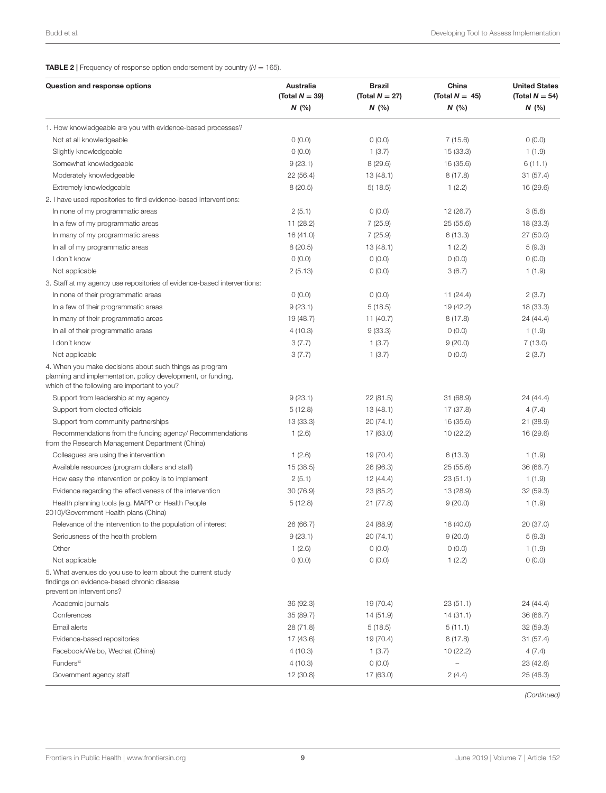### <span id="page-8-0"></span>**TABLE 2** | Frequency of response option endorsement by country ( $N = 165$ ).

| <b>Question and response options</b>                                                                                                                                    | <b>Australia</b><br>(Total $N = 39$ ) | <b>Brazil</b><br>(Total $N = 27$ ) | China<br>(Total $N = 45$ ) | <b>United States</b><br>(Total $N = 54$ ) |
|-------------------------------------------------------------------------------------------------------------------------------------------------------------------------|---------------------------------------|------------------------------------|----------------------------|-------------------------------------------|
|                                                                                                                                                                         | $N$ (%)                               | $N$ (%)                            | $N$ (%)                    | $N$ (%)                                   |
| 1. How knowledgeable are you with evidence-based processes?                                                                                                             |                                       |                                    |                            |                                           |
| Not at all knowledgeable                                                                                                                                                | 0(0.0)                                | 0(0.0)                             | 7(15.6)                    | 0(0.0)                                    |
| Slightly knowledgeable                                                                                                                                                  | 0(0.0)                                | 1(3.7)                             | 15 (33.3)                  | 1(1.9)                                    |
| Somewhat knowledgeable                                                                                                                                                  | 9(23.1)                               | 8(29.6)                            | 16 (35.6)                  | 6(11.1)                                   |
| Moderately knowledgeable                                                                                                                                                | 22(56.4)                              | 13 (48.1)                          | 8(17.8)                    | 31 (57.4)                                 |
| Extremely knowledgeable                                                                                                                                                 | 8(20.5)                               | 5(18.5)                            | 1(2.2)                     | 16 (29.6)                                 |
| 2. I have used repositories to find evidence-based interventions:                                                                                                       |                                       |                                    |                            |                                           |
| In none of my programmatic areas                                                                                                                                        | 2(5.1)                                | 0(0.0)                             | 12 (26.7)                  | 3(5.6)                                    |
| In a few of my programmatic areas                                                                                                                                       | 11 (28.2)                             | 7(25.9)                            | 25 (55.6)                  | 18 (33.3)                                 |
| In many of my programmatic areas                                                                                                                                        | 16 (41.0)                             | 7(25.9)                            | 6(13.3)                    | 27 (50.0)                                 |
| In all of my programmatic areas                                                                                                                                         | 8(20.5)                               | 13 (48.1)                          | 1(2.2)                     | 5(9.3)                                    |
| I don't know                                                                                                                                                            | 0(0.0)                                | 0(0.0)                             | 0(0.0)                     | 0(0.0)                                    |
| Not applicable                                                                                                                                                          | 2(5.13)                               | 0(0.0)                             | 3(6.7)                     | 1(1.9)                                    |
| 3. Staff at my agency use repositories of evidence-based interventions:                                                                                                 |                                       |                                    |                            |                                           |
| In none of their programmatic areas                                                                                                                                     | 0(0.0)                                | 0(0.0)                             | 11(24.4)                   | 2(3.7)                                    |
| In a few of their programmatic areas                                                                                                                                    | 9(23.1)                               | 5(18.5)                            | 19 (42.2)                  | 18 (33.3)                                 |
| In many of their programmatic areas                                                                                                                                     | 19 (48.7)                             | 11 $(40.7)$                        | 8(17.8)                    | 24 (44.4)                                 |
| In all of their programmatic areas                                                                                                                                      | 4(10.3)                               | 9(33.3)                            | (0.0)                      | 1(1.9)                                    |
| I don't know                                                                                                                                                            | 3(7.7)                                | 1(3.7)                             | 9(20.0)                    | 7(13.0)                                   |
| Not applicable                                                                                                                                                          | 3(7.7)                                | 1(3.7)                             | 0(0.0)                     | 2(3.7)                                    |
| 4. When you make decisions about such things as program<br>planning and implementation, policy development, or funding,<br>which of the following are important to you? |                                       |                                    |                            |                                           |
| Support from leadership at my agency                                                                                                                                    | 9(23.1)                               | 22 (81.5)                          | 31 (68.9)                  | 24 (44.4)                                 |
| Support from elected officials                                                                                                                                          | 5(12.8)                               | 13 (48.1)                          | 17 (37.8)                  | 4(7.4)                                    |
| Support from community partnerships                                                                                                                                     | 13 (33.3)                             | 20(74.1)                           | 16 (35.6)                  | 21 (38.9)                                 |
| Recommendations from the funding agency/ Recommendations<br>from the Research Management Department (China)                                                             | 1(2.6)                                | 17 (63.0)                          | 10(22.2)                   | 16 (29.6)                                 |
| Colleagues are using the intervention                                                                                                                                   | 1(2.6)                                | 19 (70.4)                          | 6(13.3)                    | 1(1.9)                                    |
| Available resources (program dollars and staff)                                                                                                                         | 15 (38.5)                             | 26 (96.3)                          | 25(55.6)                   | 36 (66.7)                                 |
| How easy the intervention or policy is to implement                                                                                                                     | 2(5.1)                                | 12 (44.4)                          | 23(51.1)                   | 1(1.9)                                    |
| Evidence regarding the effectiveness of the intervention                                                                                                                | 30(76.9)                              | 23 (85.2)                          | 13 (28.9)                  | 32 (59.3)                                 |
| Health planning tools (e.g. MAPP or Health People<br>2010)/Government Health plans (China)                                                                              | 5(12.8)                               | 21 (77.8)                          | 9(20.0)                    | 1(1.9)                                    |
| Relevance of the intervention to the population of interest                                                                                                             | 26 (66.7)                             | 24 (88.9)                          | 18 (40.0)                  | 20 (37.0)                                 |
| Seriousness of the health problem                                                                                                                                       | 9(23.1)                               | 20 (74.1)                          | 9(20.0)                    | 5(9.3)                                    |
| Other                                                                                                                                                                   | 1(2.6)                                | 0(0.0)                             | 0(0.0)                     | 1(1.9)                                    |
| Not applicable                                                                                                                                                          | 0(0.0)                                | 0(0.0)                             | 1(2.2)                     | 0(0.0)                                    |
| 5. What avenues do you use to learn about the current study<br>findings on evidence-based chronic disease<br>prevention interventions?                                  |                                       |                                    |                            |                                           |
| Academic journals                                                                                                                                                       | 36 (92.3)                             | 19 (70.4)                          | 23(51.1)                   | 24 (44.4)                                 |
| Conferences                                                                                                                                                             | 35 (89.7)                             | 14 (51.9)                          | 14(31.1)                   | 36 (66.7)                                 |
| Email alerts                                                                                                                                                            | 28 (71.8)                             | 5(18.5)                            | 5(11.1)                    | 32 (59.3)                                 |
| Evidence-based repositories                                                                                                                                             | 17 (43.6)                             | 19 (70.4)                          | 8 (17.8)                   | 31 (57.4)                                 |
| Facebook/Weibo, Wechat (China)                                                                                                                                          | 4(10.3)                               | 1(3.7)                             | 10(22.2)                   | 4(7.4)                                    |
| Funders <sup>a</sup>                                                                                                                                                    | 4(10.3)                               | 0(0.0)                             |                            | 23 (42.6)                                 |
| Government agency staff                                                                                                                                                 | 12 (30.8)                             | 17 (63.0)                          | 2(4.4)                     | 25 (46.3)                                 |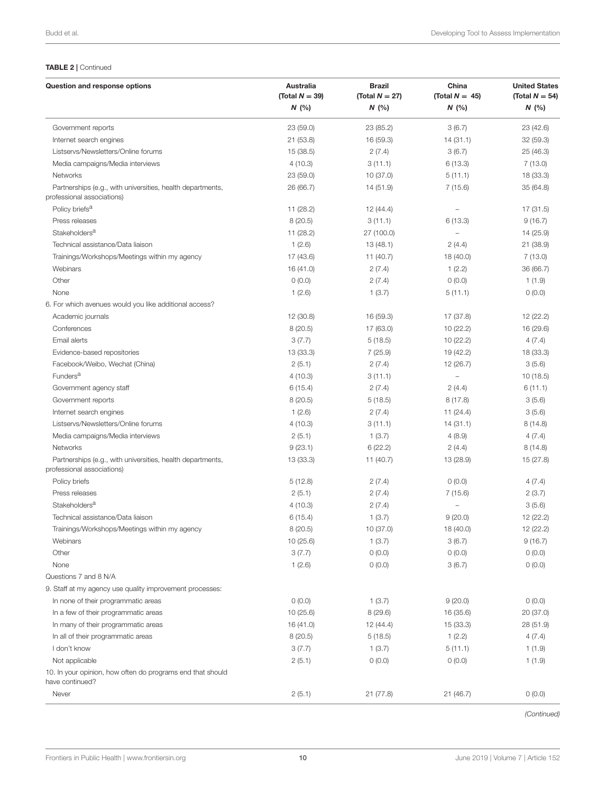| Question and response options                                                            | <b>Australia</b>             | <b>Brazil</b>                | China                        | <b>United States</b>         |
|------------------------------------------------------------------------------------------|------------------------------|------------------------------|------------------------------|------------------------------|
|                                                                                          | (Total $N = 39$ )<br>$N$ (%) | (Total $N = 27$ )<br>$N$ (%) | (Total $N = 45$ )<br>$N$ (%) | (Total $N = 54$ )<br>$N$ (%) |
|                                                                                          |                              |                              |                              |                              |
| Government reports                                                                       | 23 (59.0)                    | 23 (85.2)                    | 3(6.7)                       | 23 (42.6)                    |
| Internet search engines                                                                  | 21(53.8)                     | 16 (59.3)                    | 14(31.1)                     | 32 (59.3)                    |
| Listservs/Newsletters/Online forums                                                      | 15 (38.5)                    | 2(7.4)                       | 3(6.7)                       | 25 (46.3)                    |
| Media campaigns/Media interviews                                                         | 4(10.3)                      | 3(11.1)                      | 6(13.3)                      | 7(13.0)                      |
| <b>Networks</b>                                                                          | 23 (59.0)                    | 10(37.0)                     | 5(11.1)                      | 18 (33.3)                    |
| Partnerships (e.g., with universities, health departments,<br>professional associations) | 26 (66.7)                    | 14 (51.9)                    | 7(15.6)                      | 35 (64.8)                    |
| Policy briefs <sup>a</sup>                                                               | 11 (28.2)                    | 12 (44.4)                    | ÷                            | 17 (31.5)                    |
| Press releases                                                                           | 8(20.5)                      | 3(11.1)                      | 6(13.3)                      | 9(16.7)                      |
| Stakeholders <sup>a</sup>                                                                | 11 (28.2)                    | 27 (100.0)                   | $\overline{\phantom{0}}$     | 14 (25.9)                    |
|                                                                                          |                              |                              |                              |                              |
| Technical assistance/Data liaison                                                        | 1(2.6)                       | 13 (48.1)                    | 2(4.4)                       | 21 (38.9)                    |
| Trainings/Workshops/Meetings within my agency                                            | 17 (43.6)                    | 11(40.7)                     | 18 (40.0)                    | 7(13.0)                      |
| Webinars                                                                                 | 16 (41.0)                    | 2(7.4)                       | 1(2.2)                       | 36 (66.7)                    |
| Other                                                                                    | 0(0.0)                       | 2(7.4)                       | 0(0.0)                       | 1(1.9)                       |
| None                                                                                     | 1(2.6)                       | 1(3.7)                       | 5(11.1)                      | 0(0.0)                       |
| 6. For which avenues would you like additional access?                                   |                              |                              |                              |                              |
| Academic journals                                                                        | 12 (30.8)                    | 16 (59.3)                    | 17 (37.8)                    | 12 (22.2)                    |
| Conferences                                                                              | 8(20.5)                      | 17 (63.0)                    | 10(22.2)                     | 16 (29.6)                    |
| Email alerts                                                                             | 3(7.7)                       | 5(18.5)                      | 10(22.2)                     | 4(7.4)                       |
| Evidence-based repositories                                                              | 13 (33.3)                    | 7(25.9)                      | 19 (42.2)                    | 18 (33.3)                    |
| Facebook/Weibo, Wechat (China)                                                           | 2(5.1)                       | 2(7.4)                       | 12 (26.7)                    | 3(5.6)                       |
| Funders <sup>a</sup>                                                                     | 4(10.3)                      | 3(11.1)                      | $\qquad \qquad -$            | 10(18.5)                     |
| Government agency staff                                                                  | 6(15.4)                      | 2(7.4)                       | 2(4.4)                       | 6(11.1)                      |
| Government reports                                                                       | 8(20.5)                      | 5(18.5)                      | 8(17.8)                      | 3(5.6)                       |
| Internet search engines                                                                  | 1(2.6)                       | 2(7.4)                       | 11 $(24.4)$                  | 3(5.6)                       |
| Listservs/Newsletters/Online forums                                                      | 4 (10.3)                     | 3(11.1)                      | 14 (31.1)                    | 8(14.8)                      |
| Media campaigns/Media interviews                                                         | 2(5.1)                       | 1(3.7)                       | 4(8.9)                       | 4(7.4)                       |
| <b>Networks</b>                                                                          | 9(23.1)                      | 6(22.2)                      | 2(4.4)                       | 8(14.8)                      |
| Partnerships (e.g., with universities, health departments,<br>professional associations) | 13 (33.3)                    | 11 (40.7)                    | 13 (28.9)                    | 15 (27.8)                    |
| Policy briefs                                                                            | 5(12.8)                      | 2(7.4)                       | 0(0.0)                       | 4(7.4)                       |
| Press releases                                                                           | 2(5.1)                       | 2(7.4)                       | 7(15.6)                      | 2(3.7)                       |
| Stakeholders <sup>a</sup>                                                                | 4 (10.3)                     | 2(7.4)                       |                              | 3(5.6)                       |
| Technical assistance/Data liaison                                                        | 6 (15.4)                     | 1(3.7)                       | 9(20.0)                      | 12 (22.2)                    |
| Trainings/Workshops/Meetings within my agency                                            | 8(20.5)                      | 10 (37.0)                    | 18 (40.0)                    | 12 (22.2)                    |
| Webinars                                                                                 | 10 (25.6)                    | 1(3.7)                       | 3(6.7)                       | 9(16.7)                      |
| Other                                                                                    | 3(7.7)                       | O(0.0)                       | 0(0.0)                       | 0(0.0)                       |
| None                                                                                     | 1(2.6)                       | 0(0.0)                       | 3(6.7)                       | 0(0.0)                       |
| Questions 7 and 8 N/A                                                                    |                              |                              |                              |                              |
| 9. Staff at my agency use quality improvement processes:                                 |                              |                              |                              |                              |
| In none of their programmatic areas                                                      | (0.0)                        | 1(3.7)                       | 9(20.0)                      | (0.0)                        |
| In a few of their programmatic areas                                                     | 10(25.6)                     | 8(29.6)                      | 16 (35.6)                    | 20 (37.0)                    |
| In many of their programmatic areas                                                      | 16 (41.0)                    | 12 (44.4)                    | 15 (33.3)                    | 28 (51.9)                    |
| In all of their programmatic areas                                                       | 8(20.5)                      | 5(18.5)                      | 1(2.2)                       | 4(7.4)                       |
| I don't know                                                                             | 3(7.7)                       | 1(3.7)                       | 5(11.1)                      | 1(1.9)                       |
| Not applicable                                                                           | 2(5.1)                       | 0(0.0)                       | 0(0.0)                       | 1(1.9)                       |
| 10. In your opinion, how often do programs end that should<br>have continued?            |                              |                              |                              |                              |
| Never                                                                                    | 2(5.1)                       | 21 (77.8)                    | 21(46.7)                     | (0.0)                        |
|                                                                                          |                              |                              |                              |                              |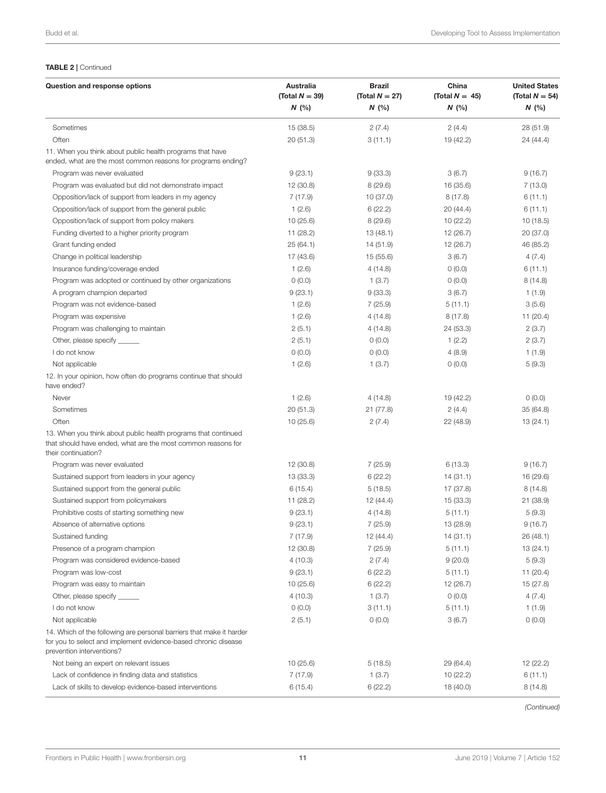| Question and response options                                                                                                                                       | Australia<br>(Total $N = 39$ )<br>$N$ (%) | <b>Brazil</b><br>(Total $N = 27$ )<br>$N$ (%) | China<br>(Total $N = 45$ )<br>$N$ (%) | <b>United States</b><br>(Total $N = 54$ )<br>$N$ (%) |
|---------------------------------------------------------------------------------------------------------------------------------------------------------------------|-------------------------------------------|-----------------------------------------------|---------------------------------------|------------------------------------------------------|
| Sometimes                                                                                                                                                           | 15(38.5)                                  | 2(7.4)                                        | 2(4.4)                                | 28 (51.9)                                            |
| Often                                                                                                                                                               | 20(51.3)                                  | 3(11.1)                                       | 19 (42.2)                             | 24 (44.4)                                            |
| 11. When you think about public health programs that have                                                                                                           |                                           |                                               |                                       |                                                      |
| ended, what are the most common reasons for programs ending?                                                                                                        |                                           |                                               |                                       |                                                      |
| Program was never evaluated                                                                                                                                         | 9(23.1)                                   | 9(33.3)                                       | 3(6.7)                                | 9(16.7)                                              |
| Program was evaluated but did not demonstrate impact                                                                                                                | 12(30.8)                                  | 8(29.6)                                       | 16 (35.6)                             | 7(13.0)                                              |
| Opposition/lack of support from leaders in my agency                                                                                                                | 7(17.9)                                   | 10 (37.0)                                     | 8(17.8)                               | 6(11.1)                                              |
| Opposition/lack of support from the general public                                                                                                                  | 1(2.6)                                    | 6(22.2)                                       | 20(44.4)                              | 6(11.1)                                              |
| Opposition/lack of support from policy makers                                                                                                                       | 10(25.6)                                  | 8(29.6)                                       | 10(22.2)                              | 10 (18.5)                                            |
| Funding diverted to a higher priority program                                                                                                                       | 11(28.2)                                  | 13 (48.1)                                     | 12 (26.7)                             | 20 (37.0)                                            |
| Grant funding ended                                                                                                                                                 | 25 (64.1)                                 | 14 (51.9)                                     | 12 (26.7)                             | 46 (85.2)                                            |
| Change in political leadership                                                                                                                                      | 17 (43.6)                                 | 15 (55.6)                                     | 3(6.7)                                | 4(7.4)                                               |
| Insurance funding/coverage ended                                                                                                                                    | 1(2.6)                                    | 4(14.8)                                       | 0(0.0)                                | 6(11.1)                                              |
| Program was adopted or continued by other organizations                                                                                                             | 0(0.0)                                    | 1(3.7)                                        | 0(0.0)                                | 8(14.8)                                              |
| A program champion departed                                                                                                                                         | 9(23.1)                                   | 9(33.3)                                       | 3(6.7)                                | 1(1.9)                                               |
| Program was not evidence-based                                                                                                                                      | 1(2.6)                                    | 7(25.9)                                       | 5(11.1)                               | 3(5.6)                                               |
| Program was expensive                                                                                                                                               | 1(2.6)                                    | 4(14.8)                                       | 8(17.8)                               | 11 (20.4)                                            |
| Program was challenging to maintain                                                                                                                                 | 2(5.1)                                    | 4(14.8)                                       | 24 (53.3)                             | 2(3.7)                                               |
| Other, please specify                                                                                                                                               | 2(5.1)                                    | 0(0.0)                                        | 1(2.2)                                | 2(3.7)                                               |
| I do not know                                                                                                                                                       | 0(0.0)                                    | 0(0.0)                                        | 4(8.9)                                | 1(1.9)                                               |
| Not applicable                                                                                                                                                      | 1(2.6)                                    | 1(3.7)                                        | 0(0.0)                                | 5(9.3)                                               |
| 12. In your opinion, how often do programs continue that should<br>have ended?                                                                                      |                                           |                                               |                                       |                                                      |
| Never                                                                                                                                                               | 1(2.6)                                    | 4(14.8)                                       | 19 (42.2)                             | (0.0)                                                |
| Sometimes                                                                                                                                                           | 20(51.3)                                  | 21(77.8)                                      | 2(4.4)                                | 35 (64.8)                                            |
| Often                                                                                                                                                               | 10(25.6)                                  | 2(7.4)                                        | 22 (48.9)                             | 13(24.1)                                             |
| 13. When you think about public health programs that continued<br>that should have ended, what are the most common reasons for<br>their continuation?               |                                           |                                               |                                       |                                                      |
| Program was never evaluated                                                                                                                                         | 12 (30.8)                                 | 7(25.9)                                       | 6 (13.3)                              | 9(16.7)                                              |
| Sustained support from leaders in your agency                                                                                                                       | 13 (33.3)                                 | 6(22.2)                                       | 14(31.1)                              | 16 (29.6)                                            |
| Sustained support from the general public                                                                                                                           | 6(15.4)                                   | 5(18.5)                                       | 17 (37.8)                             | 8(14.8)                                              |
| Sustained support from policymakers                                                                                                                                 | 11 (28.2)                                 | 12 (44.4)                                     | 15 (33.3)                             | 21 (38.9)                                            |
| Prohibitive costs of starting something new                                                                                                                         | 9(23.1)                                   | 4(14.8)                                       | 5(11.1)                               | 5(9.3)                                               |
| Absence of alternative options                                                                                                                                      | 9(23.1)                                   | 7(25.9)                                       | 13 (28.9)                             | 9(16.7)                                              |
| Sustained funding                                                                                                                                                   | 7(17.9)                                   | 12 (44.4)                                     | 14 (31.1)                             | 26 (48.1)                                            |
| Presence of a program champion                                                                                                                                      | 12 (30.8)                                 | 7(25.9)                                       | 5(11.1)                               | 13 (24.1)                                            |
| Program was considered evidence-based                                                                                                                               | 4(10.3)                                   | 2(7.4)                                        | 9(20.0)                               | 5(9.3)                                               |
| Program was low-cost                                                                                                                                                | 9(23.1)                                   | 6(22.2)                                       | 5(11.1)                               | 11 (20.4)                                            |
| Program was easy to maintain                                                                                                                                        | 10(25.6)                                  | 6(22.2)                                       | 12 (26.7)                             | 15 (27.8)                                            |
| Other, please specify ______                                                                                                                                        | 4 (10.3)                                  | 1(3.7)                                        | 0(0.0)                                | 4(7.4)                                               |
| I do not know                                                                                                                                                       | 0(0.0)                                    | 3(11.1)                                       | 5(11.1)                               | 1(1.9)                                               |
| Not applicable                                                                                                                                                      | 2(5.1)                                    | 0(0.0)                                        | 3(6.7)                                | (0.0)                                                |
| 14. Which of the following are personal barriers that make it harder<br>for you to select and implement evidence-based chronic disease<br>prevention interventions? |                                           |                                               |                                       |                                                      |
| Not being an expert on relevant issues                                                                                                                              | 10(25.6)                                  | 5(18.5)                                       | 29 (64.4)                             | 12 (22.2)                                            |
| Lack of confidence in finding data and statistics                                                                                                                   | 7 (17.9)                                  | 1(3.7)                                        | 10(22.2)                              | 6(11.1)                                              |
| Lack of skills to develop evidence-based interventions                                                                                                              | 6(15.4)                                   | 6(22.2)                                       | 18 (40.0)                             | 8(14.8)                                              |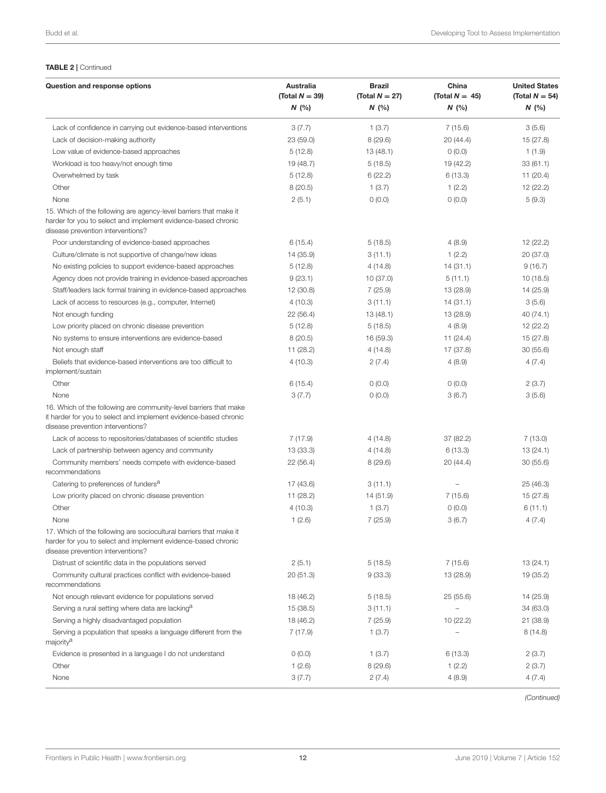| Question and response options                                                                                                                                              | Australia<br>(Total $N = 39$ ) | <b>Brazil</b><br>(Total $N = 27$ ) | China<br>(Total $N = 45$ ) | <b>United States</b><br>(Total $N = 54$ ) |
|----------------------------------------------------------------------------------------------------------------------------------------------------------------------------|--------------------------------|------------------------------------|----------------------------|-------------------------------------------|
|                                                                                                                                                                            | $N$ (%)                        | $N$ (%)                            | $N$ (%)                    | $N$ (%)                                   |
| Lack of confidence in carrying out evidence-based interventions                                                                                                            | 3(7.7)                         | 1(3.7)                             | 7(15.6)                    | 3(5.6)                                    |
| Lack of decision-making authority                                                                                                                                          | 23 (59.0)                      | 8 (29.6)                           | 20(44.4)                   | 15 (27.8)                                 |
| Low value of evidence-based approaches                                                                                                                                     | 5(12.8)                        | 13 (48.1)                          | 0(0.0)                     | 1(1.9)                                    |
| Workload is too heavy/not enough time                                                                                                                                      | 19 (48.7)                      | 5(18.5)                            | 19 (42.2)                  | 33(61.1)                                  |
| Overwhelmed by task                                                                                                                                                        | 5(12.8)                        | 6(22.2)                            | 6(13.3)                    | 11(20.4)                                  |
| Other                                                                                                                                                                      | 8(20.5)                        | 1(3.7)                             | 1(2.2)                     | 12 (22.2)                                 |
| None                                                                                                                                                                       | 2(5.1)                         | 0(0.0)                             | 0(0.0)                     | 5(9.3)                                    |
| 15. Which of the following are agency-level barriers that make it<br>harder for you to select and implement evidence-based chronic<br>disease prevention interventions?    |                                |                                    |                            |                                           |
| Poor understanding of evidence-based approaches                                                                                                                            | 6(15.4)                        | 5(18.5)                            | 4(8.9)                     | 12 (22.2)                                 |
| Culture/climate is not supportive of change/new ideas                                                                                                                      | 14 (35.9)                      | 3(11.1)                            | 1(2.2)                     | 20 (37.0)                                 |
| No existing policies to support evidence-based approaches                                                                                                                  | 5(12.8)                        | 4(14.8)                            | 14(31.1)                   | 9(16.7)                                   |
| Agency does not provide training in evidence-based approaches                                                                                                              | 9(23.1)                        | 10(37.0)                           | 5(11.1)                    | 10(18.5)                                  |
| Staff/leaders lack formal training in evidence-based approaches                                                                                                            | 12 (30.8)                      | 7(25.9)                            | 13 (28.9)                  | 14 (25.9)                                 |
| Lack of access to resources (e.g., computer, Internet)                                                                                                                     | 4(10.3)                        | 3(11.1)                            | 14(31.1)                   | 3(5.6)                                    |
| Not enough funding                                                                                                                                                         | 22 (56.4)                      | 13(48.1)                           | 13 (28.9)                  | 40 (74.1)                                 |
| Low priority placed on chronic disease prevention                                                                                                                          | 5(12.8)                        | 5(18.5)                            | 4(8.9)                     | 12(22.2)                                  |
| No systems to ensure interventions are evidence-based                                                                                                                      | 8(20.5)                        | 16 (59.3)                          | 11(24.4)                   | 15 (27.8)                                 |
| Not enough staff                                                                                                                                                           | 11 (28.2)                      | 4(14.8)                            | 17 (37.8)                  | 30(55.6)                                  |
| Beliefs that evidence-based interventions are too difficult to                                                                                                             | 4(10.3)                        | 2(7.4)                             | 4(8.9)                     | 4(7.4)                                    |
| implement/sustain                                                                                                                                                          |                                |                                    |                            |                                           |
| Other<br>None                                                                                                                                                              | 6(15.4)<br>3(7.7)              | 0(0.0)<br>0(0.0)                   | 0(0.0)<br>3(6.7)           | 2(3.7)<br>3(5.6)                          |
| 16. Which of the following are community-level barriers that make<br>it harder for you to select and implement evidence-based chronic<br>disease prevention interventions? |                                |                                    |                            |                                           |
| Lack of access to repositories/databases of scientific studies                                                                                                             | 7(17.9)                        | 4(14.8)                            | 37 (82.2)                  | 7(13.0)                                   |
| Lack of partnership between agency and community                                                                                                                           | 13 (33.3)                      | 4(14.8)                            | 6(13.3)                    | 13 (24.1)                                 |
| Community members' needs compete with evidence-based<br>recommendations                                                                                                    | 22 (56.4)                      | 8(29.6)                            | 20(44.4)                   | 30(55.6)                                  |
| Catering to preferences of funders <sup>a</sup>                                                                                                                            | 17 (43.6)                      | 3(11.1)                            | $\qquad \qquad -$          | 25(46.3)                                  |
| Low priority placed on chronic disease prevention                                                                                                                          | 11 (28.2)                      | 14 (51.9)                          | 7(15.6)                    | 15 (27.8)                                 |
| Other                                                                                                                                                                      | 4(10.3)                        | 1(3.7)                             | 0(0.0)                     | 6(11.1)                                   |
| None                                                                                                                                                                       | 1(2.6)                         | 7(25.9)                            | 3(6.7)                     | 4(7.4)                                    |
| 17. Which of the following are sociocultural barriers that make it<br>harder for you to select and implement evidence-based chronic<br>disease prevention interventions?   |                                |                                    |                            |                                           |
| Distrust of scientific data in the populations served                                                                                                                      | 2(5.1)                         | 5(18.5)                            | 7(15.6)                    | 13(24.1)                                  |
| Community cultural practices conflict with evidence-based<br>recommendations                                                                                               | 20 (51.3)                      | 9(33.3)                            | 13 (28.9)                  | 19 (35.2)                                 |
| Not enough relevant evidence for populations served                                                                                                                        | 18 (46.2)                      | 5(18.5)                            | 25(55.6)                   | 14 (25.9)                                 |
| Serving a rural setting where data are lacking <sup>a</sup>                                                                                                                | 15 (38.5)                      | 3(11.1)                            | $\overline{\phantom{0}}$   | 34 (63.0)                                 |
| Serving a highly disadvantaged population                                                                                                                                  | 18 (46.2)                      | 7(25.9)                            | 10(22.2)                   | 21 (38.9)                                 |
| Serving a population that speaks a language different from the<br>majority <sup>a</sup>                                                                                    | 7(17.9)                        | 1(3.7)                             | L,                         | 8(14.8)                                   |
| Evidence is presented in a language I do not understand                                                                                                                    | 0(0.0)                         | 1(3.7)                             | 6(13.3)                    | 2(3.7)                                    |
| Other                                                                                                                                                                      | 1(2.6)                         | 8(29.6)                            | 1(2.2)                     | 2(3.7)                                    |
| None                                                                                                                                                                       | 3(7.7)                         | 2(7.4)                             | 4(8.9)                     | 4(7.4)                                    |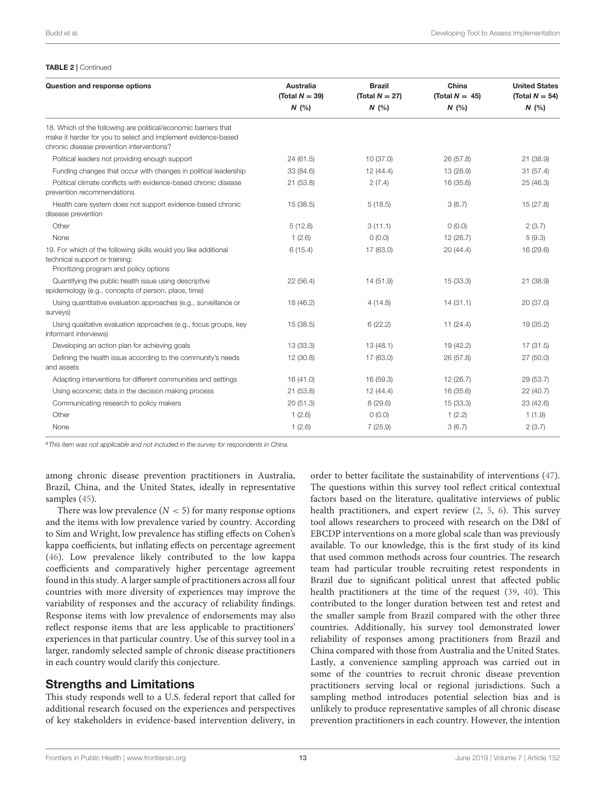#### TABLE 2 | Continued

| Question and response options                                                                                                                                                 | Australia<br>(Total $N = 39$ )<br>$N$ (%) | <b>Brazil</b><br>(Total $N = 27$ )<br>$N$ (%) | China<br>(Total $N = 45$ )<br>$N$ (%) | <b>United States</b><br>(Total $N = 54$ )<br>N(%) |
|-------------------------------------------------------------------------------------------------------------------------------------------------------------------------------|-------------------------------------------|-----------------------------------------------|---------------------------------------|---------------------------------------------------|
| 18. Which of the following are political/economic barriers that<br>make it harder for you to select and implement evidence-based<br>chronic disease prevention interventions? |                                           |                                               |                                       |                                                   |
| Political leaders not providing enough support                                                                                                                                | 24(61.5)                                  | 10(37.0)                                      | 26 (57.8)                             | 21 (38.9)                                         |
| Funding changes that occur with changes in political leadership                                                                                                               | 33 (84.6)                                 | 12(44.4)                                      | 13 (28.9)                             | 31(57.4)                                          |
| Political climate conflicts with evidence-based chronic disease<br>prevention recommendations                                                                                 | 21(53.8)                                  | 2(7.4)                                        | 16 (35.6)                             | 25 (46.3)                                         |
| Health care system does not support evidence-based chronic<br>disease prevention                                                                                              | 15 (38.5)                                 | 5(18.5)                                       | 3(6.7)                                | 15(27.8)                                          |
| Other                                                                                                                                                                         | 5(12.8)                                   | 3(11.1)                                       | 0(0.0)                                | 2(3.7)                                            |
| None                                                                                                                                                                          | 1(2.6)                                    | 0(0.0)                                        | 12(26.7)                              | 5(9.3)                                            |
| 19. For which of the following skills would you like additional<br>technical support or training:<br>Prioritizing program and policy options                                  | 6(15.4)                                   | 17 (63.0)                                     | 20(44.4)                              | 16 (29.6)                                         |
| Quantifying the public health issue using descriptive<br>epidemiology (e.g., concepts of person, place, time)                                                                 | 22 (56.4)                                 | 14 (51.9)                                     | 15 (33.3)                             | 21 (38.9)                                         |
| Using quantitative evaluation approaches (e.g., surveillance or<br>surveys)                                                                                                   | 18 (46.2)                                 | 4(14.8)                                       | 14(31.1)                              | 20 (37.0)                                         |
| Using qualitative evaluation approaches (e.g., focus groups, key<br>informant interviews)                                                                                     | 15 (38.5)                                 | 6(22.2)                                       | 11(24.4)                              | 19 (35.2)                                         |
| Developing an action plan for achieving goals                                                                                                                                 | 13 (33.3)                                 | 13(48.1)                                      | 19 (42.2)                             | 17 (31.5)                                         |
| Defining the health issue according to the community's needs<br>and assets                                                                                                    | 12 (30.8)                                 | 17 (63.0)                                     | 26 (57.8)                             | 27 (50.0)                                         |
| Adapting interventions for different communities and settings                                                                                                                 | 16(41.0)                                  | 16 (59.3)                                     | 12(26.7)                              | 29 (53.7)                                         |
| Using economic data in the decision making process                                                                                                                            | 21 (53.8)                                 | 12(44.4)                                      | 16 (35.6)                             | 22 (40.7)                                         |
| Communicating research to policy makers                                                                                                                                       | 20(51.3)                                  | 8(29.6)                                       | 15 (33.3)                             | 23 (42.6)                                         |
| Other                                                                                                                                                                         | 1(2.6)                                    | 0(0.0)                                        | 1(2.2)                                | 1(1.9)                                            |
| None                                                                                                                                                                          | 1(2.6)                                    | 7(25.9)                                       | 3(6.7)                                | 2(3.7)                                            |

a This item was not applicable and not included in the survey for respondents in China.

among chronic disease prevention practitioners in Australia, Brazil, China, and the United States, ideally in representative samples [\(45\)](#page-15-13).

There was low prevalence  $(N < 5)$  for many response options and the items with low prevalence varied by country. According to Sim and Wright, low prevalence has stifling effects on Cohen's kappa coefficients, but inflating effects on percentage agreement [\(46\)](#page-15-14). Low prevalence likely contributed to the low kappa coefficients and comparatively higher percentage agreement found in this study. A larger sample of practitioners across all four countries with more diversity of experiences may improve the variability of responses and the accuracy of reliability findings. Response items with low prevalence of endorsements may also reflect response items that are less applicable to practitioners' experiences in that particular country. Use of this survey tool in a larger, randomly selected sample of chronic disease practitioners in each country would clarify this conjecture.

### Strengths and Limitations

This study responds well to a U.S. federal report that called for additional research focused on the experiences and perspectives of key stakeholders in evidence-based intervention delivery, in order to better facilitate the sustainability of interventions [\(47\)](#page-15-15). The questions within this survey tool reflect critical contextual factors based on the literature, qualitative interviews of public health practitioners, and expert review [\(2,](#page-14-1) [5,](#page-14-4) [6\)](#page-14-19). This survey tool allows researchers to proceed with research on the D&I of EBCDP interventions on a more global scale than was previously available. To our knowledge, this is the first study of its kind that used common methods across four countries. The research team had particular trouble recruiting retest respondents in Brazil due to significant political unrest that affected public health practitioners at the time of the request [\(39,](#page-15-5) [40\)](#page-15-6). This contributed to the longer duration between test and retest and the smaller sample from Brazil compared with the other three countries. Additionally, his survey tool demonstrated lower reliability of responses among practitioners from Brazil and China compared with those from Australia and the United States. Lastly, a convenience sampling approach was carried out in some of the countries to recruit chronic disease prevention practitioners serving local or regional jurisdictions. Such a sampling method introduces potential selection bias and is unlikely to produce representative samples of all chronic disease prevention practitioners in each country. However, the intention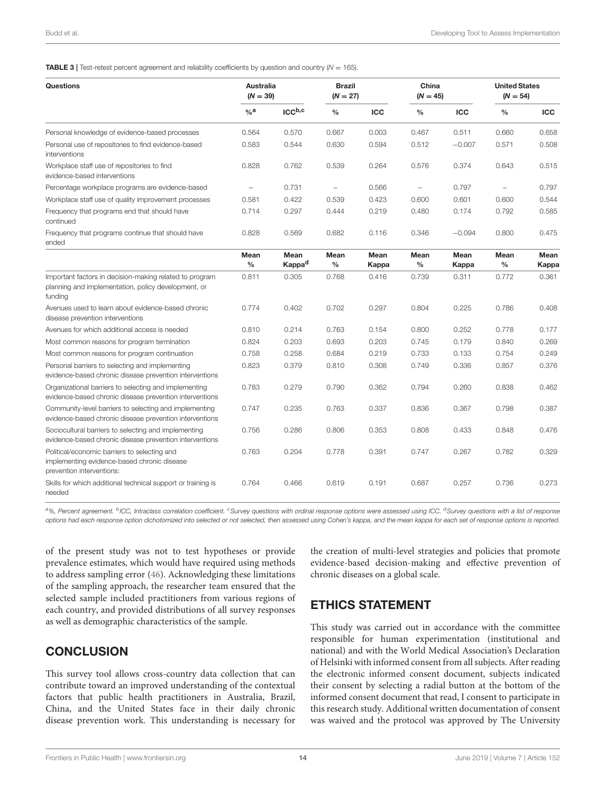<span id="page-13-0"></span>**TABLE 3** | Test-retest percent agreement and reliability coefficients by question and country ( $N = 165$ ).

| Questions                                                                                                                 | <b>Australia</b><br>$(N = 39)$ |                            | <b>Brazil</b><br>$(N = 27)$ |                      | China<br>$(N = 45)$ |               | <b>United States</b><br>$(N = 54)$ |               |
|---------------------------------------------------------------------------------------------------------------------------|--------------------------------|----------------------------|-----------------------------|----------------------|---------------------|---------------|------------------------------------|---------------|
|                                                                                                                           | $\frac{6}{6}a$                 | ICC <sup>b,c</sup>         | $\frac{0}{0}$               | <b>ICC</b>           | $\frac{0}{0}$       | <b>ICC</b>    | $\frac{0}{0}$                      | <b>ICC</b>    |
| Personal knowledge of evidence-based processes                                                                            | 0.564                          | 0.570                      | 0.667                       | 0.003                | 0.467               | 0.511         | 0.660                              | 0.658         |
| Personal use of repositories to find evidence-based<br>interventions                                                      | 0.583                          | 0.544                      | 0.630                       | 0.594                | 0.512               | $-0.007$      | 0.571                              | 0.508         |
| Workplace staff use of repositories to find<br>evidence-based interventions                                               | 0.828                          | 0.762                      | 0.539                       | 0.264                | 0.576               | 0.374         | 0.643                              | 0.515         |
| Percentage workplace programs are evidence-based                                                                          |                                | 0.731                      | $\equiv$                    | 0.566                |                     | 0.797         |                                    | 0.797         |
| Workplace staff use of quality improvement processes                                                                      | 0.581                          | 0.422                      | 0.539                       | 0.423                | 0.600               | 0.601         | 0.600                              | 0.544         |
| Frequency that programs end that should have<br>continued                                                                 | 0.714                          | 0.297                      | 0.444                       | 0.219                | 0.480               | 0.174         | 0.792                              | 0.585         |
| Frequency that programs continue that should have<br>ended                                                                | 0.828                          | 0.569                      | 0.682                       | 0.116                | 0.346               | $-0.094$      | 0.800                              | 0.475         |
|                                                                                                                           | Mean<br>$\frac{0}{0}$          | Mean<br>Kappa <sup>d</sup> | Mean<br>$\frac{0}{0}$       | <b>Mean</b><br>Kappa | Mean<br>$\%$        | Mean<br>Kappa | Mean<br>$\frac{0}{0}$              | Mean<br>Kappa |
| Important factors in decision-making related to program<br>planning and implementation, policy development, or<br>funding | 0.811                          | 0.305                      | 0.768                       | 0.416                | 0.739               | 0.311         | 0.772                              | 0.361         |
| Avenues used to learn about evidence-based chronic<br>disease prevention interventions                                    | 0.774                          | 0.402                      | 0.702                       | 0.297                | 0.804               | 0.225         | 0.786                              | 0.408         |
| Avenues for which additional access is needed                                                                             | 0.810                          | 0.214                      | 0.763                       | 0.154                | 0.800               | 0.252         | 0.778                              | 0.177         |
| Most common reasons for program termination                                                                               | 0.824                          | 0.203                      | 0.693                       | 0.203                | 0.745               | 0.179         | 0.840                              | 0.269         |
| Most common reasons for program continuation                                                                              | 0.758                          | 0.258                      | 0.684                       | 0.219                | 0.733               | 0.133         | 0.754                              | 0.249         |
| Personal barriers to selecting and implementing<br>evidence-based chronic disease prevention interventions                | 0.823                          | 0.379                      | 0.810                       | 0.308                | 0.749               | 0.336         | 0.857                              | 0.376         |
| Organizational barriers to selecting and implementing<br>evidence-based chronic disease prevention interventions          | 0.783                          | 0.279                      | 0.790                       | 0.362                | 0.794               | 0.260         | 0.838                              | 0.462         |
| Community-level barriers to selecting and implementing<br>evidence-based chronic disease prevention interventions         | 0.747                          | 0.235                      | 0.763                       | 0.337                | 0.836               | 0.367         | 0.798                              | 0.387         |
| Sociocultural barriers to selecting and implementing<br>evidence-based chronic disease prevention interventions           | 0.756                          | 0.286                      | 0.806                       | 0.353                | 0.808               | 0.433         | 0.848                              | 0.476         |
| Political/economic barriers to selecting and<br>implementing evidence-based chronic disease<br>prevention interventions:  | 0.763                          | 0.204                      | 0.778                       | 0.391                | 0.747               | 0.267         | 0.782                              | 0.329         |
| Skills for which additional technical support or training is<br>needed                                                    | 0.764                          | 0.466                      | 0.619                       | 0.191                | 0.687               | 0.257         | 0.736                              | 0.273         |

<sup>ay</sup>6, Percent agreement. <sup>b</sup>ICC, Intraclass correlation coefficient. <sup>c</sup>Survey questions with ordinal response options were assessed using ICC. <sup>d</sup>Survey questions with a list of response options had each response option dichotomized into selected or not selected, then assessed using Cohen's kappa, and the mean kappa for each set of response options is reported.

of the present study was not to test hypotheses or provide prevalence estimates, which would have required using methods to address sampling error [\(46\)](#page-15-14). Acknowledging these limitations of the sampling approach, the researcher team ensured that the selected sample included practitioners from various regions of each country, and provided distributions of all survey responses as well as demographic characteristics of the sample.

# **CONCLUSION**

This survey tool allows cross-country data collection that can contribute toward an improved understanding of the contextual factors that public health practitioners in Australia, Brazil, China, and the United States face in their daily chronic disease prevention work. This understanding is necessary for

the creation of multi-level strategies and policies that promote evidence-based decision-making and effective prevention of chronic diseases on a global scale.

# ETHICS STATEMENT

This study was carried out in accordance with the committee responsible for human experimentation (institutional and national) and with the World Medical Association's Declaration of Helsinki with informed consent from all subjects. After reading the electronic informed consent document, subjects indicated their consent by selecting a radial button at the bottom of the informed consent document that read, I consent to participate in this research study. Additional written documentation of consent was waived and the protocol was approved by The University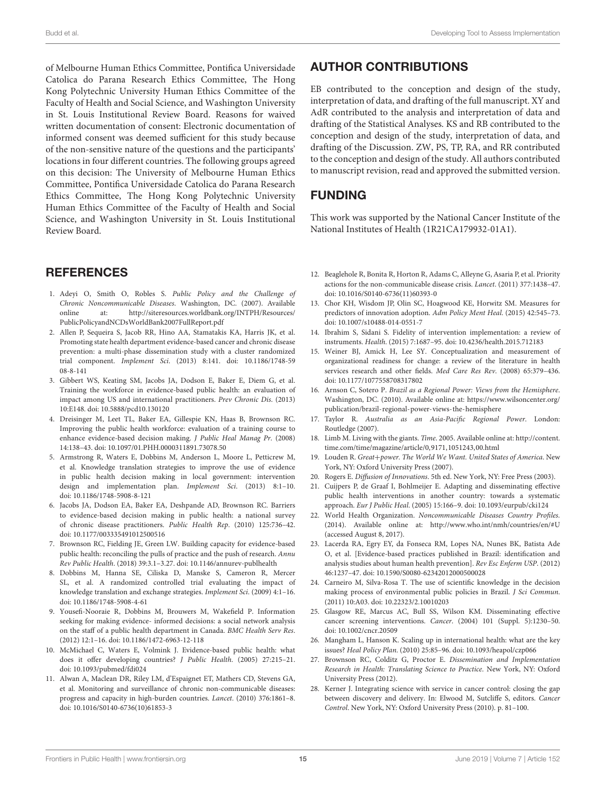of Melbourne Human Ethics Committee, Pontifica Universidade Catolica do Parana Research Ethics Committee, The Hong Kong Polytechnic University Human Ethics Committee of the Faculty of Health and Social Science, and Washington University in St. Louis Institutional Review Board. Reasons for waived written documentation of consent: Electronic documentation of informed consent was deemed sufficient for this study because of the non-sensitive nature of the questions and the participants' locations in four different countries. The following groups agreed on this decision: The University of Melbourne Human Ethics Committee, Pontifica Universidade Catolica do Parana Research Ethics Committee, The Hong Kong Polytechnic University Human Ethics Committee of the Faculty of Health and Social Science, and Washington University in St. Louis Institutional Review Board.

### **REFERENCES**

- <span id="page-14-0"></span>1. Adeyi O, Smith O, Robles S. Public Policy and the Challenge of Chronic Noncommunicable Diseases. Washington, DC. (2007). Available online at: [http://siteresources.worldbank.org/INTPH/Resources/](http://siteresources.worldbank.org/INTPH/Resources/PublicPolicyandNCDsWorldBank2007FullReport.pdf) [PublicPolicyandNCDsWorldBank2007FullReport.pdf](http://siteresources.worldbank.org/INTPH/Resources/PublicPolicyandNCDsWorldBank2007FullReport.pdf)
- <span id="page-14-1"></span>2. Allen P, Sequeira S, Jacob RR, Hino AA, Stamatakis KA, Harris JK, et al. Promoting state health department evidence-based cancer and chronic disease prevention: a multi-phase dissemination study with a cluster randomized trial component. Implement Sci[. \(2013\) 8:141. doi: 10.1186/1748-59](https://doi.org/10.1186/1748-5908-8-141) 08-8-141
- <span id="page-14-2"></span>3. Gibbert WS, Keating SM, Jacobs JA, Dodson E, Baker E, Diem G, et al. Training the workforce in evidence-based public health: an evaluation of impact among US and international practitioners. Prev Chronic Dis. (2013) 10:E148. doi: [10.5888/pcd10.130120](https://doi.org/10.5888/pcd10.130120)
- <span id="page-14-3"></span>4. Dreisinger M, Leet TL, Baker EA, Gillespie KN, Haas B, Brownson RC. Improving the public health workforce: evaluation of a training course to enhance evidence-based decision making. J Public Heal Manag Pr. (2008) 14:138–43. doi: [10.1097/01.PHH.0000311891.73078.50](https://doi.org/10.1097/01.PHH.0000311891.73078.50)
- <span id="page-14-4"></span>5. Armstrong R, Waters E, Dobbins M, Anderson L, Moore L, Petticrew M, et al. Knowledge translation strategies to improve the use of evidence in public health decision making in local government: intervention design and implementation plan. Implement Sci. (2013) 8:1–10. doi: [10.1186/1748-5908-8-121](https://doi.org/10.1186/1748-5908-8-121)
- <span id="page-14-19"></span>6. Jacobs JA, Dodson EA, Baker EA, Deshpande AD, Brownson RC. Barriers to evidence-based decision making in public health: a national survey of chronic disease practitioners. Public Health Rep. (2010) 125:736–42. doi: [10.1177/003335491012500516](https://doi.org/10.1177/003335491012500516)
- <span id="page-14-5"></span>7. Brownson RC, Fielding JE, Green LW. Building capacity for evidence-based public health: reconciling the pulls of practice and the push of research. Annu Rev Public Health. (2018) 39:3.1–3.27. doi: [10.1146/annurev-publhealth](https://doi.org/10.1146/annurev-publhealth)
- <span id="page-14-6"></span>8. Dobbins M, Hanna SE, Ciliska D, Manske S, Cameron R, Mercer SL, et al. A randomized controlled trial evaluating the impact of knowledge translation and exchange strategies. Implement Sci. (2009) 4:1–16. doi: [10.1186/1748-5908-4-61](https://doi.org/10.1186/1748-5908-4-61)
- <span id="page-14-7"></span>9. Yousefi-Nooraie R, Dobbins M, Brouwers M, Wakefield P. Information seeking for making evidence- informed decisions: a social network analysis on the staff of a public health department in Canada. BMC Health Serv Res. (2012) 12:1–16. doi: [10.1186/1472-6963-12-118](https://doi.org/10.1186/1472-6963-12-118)
- <span id="page-14-8"></span>10. McMichael C, Waters E, Volmink J. Evidence-based public health: what does it offer developing countries? J Public Health. (2005) 27:215–21. doi: [10.1093/pubmed/fdi024](https://doi.org/10.1093/pubmed/fdi024)
- 11. Alwan A, Maclean DR, Riley LM, d'Espaignet ET, Mathers CD, Stevens GA, et al. Monitoring and surveillance of chronic non-communicable diseases: progress and capacity in high-burden countries. Lancet. (2010) 376:1861–8. doi: [10.1016/S0140-6736\(10\)61853-3](https://doi.org/10.1016/S0140-6736(10)61853-3)

# AUTHOR CONTRIBUTIONS

EB contributed to the conception and design of the study, interpretation of data, and drafting of the full manuscript. XY and AdR contributed to the analysis and interpretation of data and drafting of the Statistical Analyses. KS and RB contributed to the conception and design of the study, interpretation of data, and drafting of the Discussion. ZW, PS, TP, RA, and RR contributed to the conception and design of the study. All authors contributed to manuscript revision, read and approved the submitted version.

# FUNDING

This work was supported by the National Cancer Institute of the National Institutes of Health (1R21CA179932-01A1).

- <span id="page-14-9"></span>12. Beaglehole R, Bonita R, Horton R, Adams C, Alleyne G, Asaria P, et al. Priority actions for the non-communicable disease crisis. Lancet. (2011) 377:1438–47. doi: [10.1016/S0140-6736\(11\)60393-0](https://doi.org/10.1016/S0140-6736(11)60393-0)
- <span id="page-14-10"></span>13. Chor KH, Wisdom JP, Olin SC, Hoagwood KE, Horwitz SM. Measures for predictors of innovation adoption. Adm Policy Ment Heal. (2015) 42:545–73. doi: [10.1007/s10488-014-0551-7](https://doi.org/10.1007/s10488-014-0551-7)
- 14. Ibrahim S, Sidani S. Fidelity of intervention implementation: a review of instruments. Health. (2015) 7:1687–95. doi: [10.4236/health.2015.712183](https://doi.org/10.4236/health.2015.712183)
- <span id="page-14-11"></span>15. Weiner BJ, Amick H, Lee SY. Conceptualization and measurement of organizational readiness for change: a review of the literature in health services research and other fields. Med Care Res Rev. (2008) 65:379–436. doi: [10.1177/1077558708317802](https://doi.org/10.1177/1077558708317802)
- <span id="page-14-12"></span>16. Arnson C, Sotero P. Brazil as a Regional Power: Views from the Hemisphere. Washington, DC. (2010). Available online at: [https://www.wilsoncenter.org/](https://www.wilsoncenter.org/publication/brazil-regional-power-views-the-hemisphere) [publication/brazil-regional-power-views-the-hemisphere](https://www.wilsoncenter.org/publication/brazil-regional-power-views-the-hemisphere)
- 17. Taylor R. Australia as an Asia-Pacific Regional Power. London: Routledge (2007).
- 18. Limb M. Living with the giants. Time. 2005. Available online at: [http://content.](http://content.time.com/time/magazine/article/0,9171,1051243,00.html) [time.com/time/magazine/article/0,9171,1051243,00.html](http://content.time.com/time/magazine/article/0,9171,1051243,00.html)
- 19. Louden R. Great+power. The World We Want. United States of America. New York, NY: Oxford University Press (2007).
- <span id="page-14-13"></span>20. Rogers E. Diffusion of Innovations. 5th ed. New York, NY: Free Press (2003).
- <span id="page-14-14"></span>21. Cuijpers P, de Graaf I, Bohlmeijer E. Adapting and disseminating effective public health interventions in another country: towards a systematic approach. Eur J Public Heal. (2005) 15:166–9. doi: [10.1093/eurpub/cki124](https://doi.org/10.1093/eurpub/cki124)
- <span id="page-14-15"></span>22. World Health Organization. Noncommunicable Diseases Country Profiles. (2014). Available online at:<http://www.who.int/nmh/countries/en/#U> (accessed August 8, 2017).
- <span id="page-14-16"></span>23. Lacerda RA, Egry EY, da Fonseca RM, Lopes NA, Nunes BK, Batista Ade O, et al. [Evidence-based practices published in Brazil: identification and analysis studies about human health prevention]. Rev Esc Enferm USP. (2012) 46:1237–47. doi: [10.1590/S0080-62342012000500028](https://doi.org/10.1590/S0080-62342012000500028)
- <span id="page-14-17"></span>24. Carneiro M, Silva-Rosa T. The use of scientific knowledge in the decision making process of environmental public policies in Brazil. J Sci Commun. (2011) 10:A03. doi: [10.22323/2.10010203](https://doi.org/10.22323/2.10010203)
- <span id="page-14-18"></span>25. Glasgow RE, Marcus AC, Bull SS, Wilson KM. Disseminating effective cancer screening interventions. Cancer. (2004) 101 (Suppl. 5):1230–50. doi: [10.1002/cncr.20509](https://doi.org/10.1002/cncr.20509)
- 26. Mangham L, Hanson K. Scaling up in international health: what are the key issues? Heal Policy Plan. (2010) 25:85–96. doi: [10.1093/heapol/czp066](https://doi.org/10.1093/heapol/czp066)
- 27. Brownson RC, Colditz G, Proctor E. Dissemination and Implementation Research in Health: Translating Science to Practice. New York, NY: Oxford University Press (2012).
- 28. Kerner J. Integrating science with service in cancer control: closing the gap between discovery and delivery. In: Elwood M, Sutcliffe S, editors. Cancer Control. New York, NY: Oxford University Press (2010). p. 81–100.